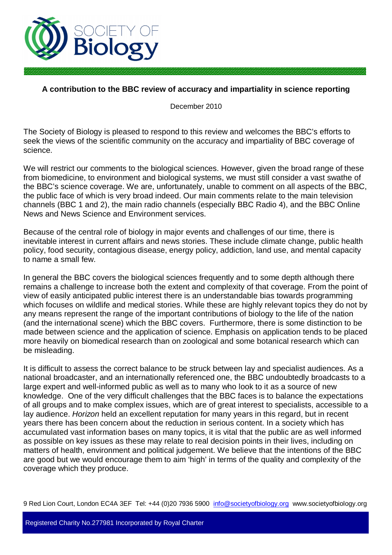

## **A contribution to the BBC review of accuracy and impartiality in science reporting**

December 2010

The Society of Biology is pleased to respond to this review and welcomes the BBC's efforts to seek the views of the scientific community on the accuracy and impartiality of BBC coverage of science.

We will restrict our comments to the biological sciences. However, given the broad range of these from biomedicine, to environment and biological systems, we must still consider a vast swathe of the BBC's science coverage. We are, unfortunately, unable to comment on all aspects of the BBC, the public face of which is very broad indeed. Our main comments relate to the main television channels (BBC 1 and 2), the main radio channels (especially BBC Radio 4), and the BBC Online News and News Science and Environment services.

Because of the central role of biology in major events and challenges of our time, there is inevitable interest in current affairs and news stories. These include climate change, public health policy, food security, contagious disease, energy policy, addiction, land use, and mental capacity to name a small few.

In general the BBC covers the biological sciences frequently and to some depth although there remains a challenge to increase both the extent and complexity of that coverage. From the point of view of easily anticipated public interest there is an understandable bias towards programming which focuses on wildlife and medical stories. While these are highly relevant topics they do not by any means represent the range of the important contributions of biology to the life of the nation (and the international scene) which the BBC covers. Furthermore, there is some distinction to be made between science and the application of science. Emphasis on application tends to be placed more heavily on biomedical research than on zoological and some botanical research which can be misleading.

It is difficult to assess the correct balance to be struck between lay and specialist audiences. As a national broadcaster, and an internationally referenced one, the BBC undoubtedly broadcasts to a large expert and well-informed public as well as to many who look to it as a source of new knowledge. One of the very difficult challenges that the BBC faces is to balance the expectations of all groups and to make complex issues, which are of great interest to specialists, accessible to a lay audience. *Horizon* held an excellent reputation for many years in this regard, but in recent years there has been concern about the reduction in serious content. In a society which has accumulated vast information bases on many topics, it is vital that the public are as well informed as possible on key issues as these may relate to real decision points in their lives, including on matters of health, environment and political judgement. We believe that the intentions of the BBC are good but we would encourage them to aim 'high' in terms of the quality and complexity of the coverage which they produce.

9 Red Lion Court, London EC4A 3EF Tel: +44 (0)20 7936 5900 info@societyofbiology.org www.societyofbiology.org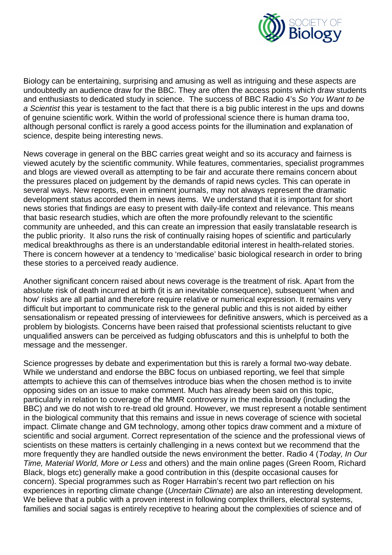

Biology can be entertaining, surprising and amusing as well as intriguing and these aspects are undoubtedly an audience draw for the BBC. They are often the access points which draw students and enthusiasts to dedicated study in science. The success of BBC Radio 4's *So You Want to be a Scientist* this year is testament to the fact that there is a big public interest in the ups and downs of genuine scientific work. Within the world of professional science there is human drama too, although personal conflict is rarely a good access points for the illumination and explanation of science, despite being interesting news.

News coverage in general on the BBC carries great weight and so its accuracy and fairness is viewed acutely by the scientific community. While features, commentaries, specialist programmes and blogs are viewed overall as attempting to be fair and accurate there remains concern about the pressures placed on judgement by the demands of rapid news cycles. This can operate in several ways. New reports, even in eminent journals, may not always represent the dramatic development status accorded them in news items. We understand that it is important for short news stories that findings are easy to present with daily-life context and relevance. This means that basic research studies, which are often the more profoundly relevant to the scientific community are unheeded, and this can create an impression that easily translatable research is the public priority. It also runs the risk of continually raising hopes of scientific and particularly medical breakthroughs as there is an understandable editorial interest in health-related stories. There is concern however at a tendency to 'medicalise' basic biological research in order to bring these stories to a perceived ready audience.

Another significant concern raised about news coverage is the treatment of risk. Apart from the absolute risk of death incurred at birth (it is an inevitable consequence), subsequent 'when and how' risks are all partial and therefore require relative or numerical expression. It remains very difficult but important to communicate risk to the general public and this is not aided by either sensationalism or repeated pressing of interviewees for definitive answers, which is perceived as a problem by biologists. Concerns have been raised that professional scientists reluctant to give unqualified answers can be perceived as fudging obfuscators and this is unhelpful to both the message and the messenger.

Science progresses by debate and experimentation but this is rarely a formal two-way debate. While we understand and endorse the BBC focus on unbiased reporting, we feel that simple attempts to achieve this can of themselves introduce bias when the chosen method is to invite opposing sides on an issue to make comment. Much has already been said on this topic, particularly in relation to coverage of the MMR controversy in the media broadly (including the BBC) and we do not wish to re-tread old ground. However, we must represent a notable sentiment in the biological community that this remains and issue in news coverage of science with societal impact. Climate change and GM technology, among other topics draw comment and a mixture of scientific and social argument. Correct representation of the science and the professional views of scientists on these matters is certainly challenging in a news context but we recommend that the more frequently they are handled outside the news environment the better. Radio 4 (*Today, In Our Time, Material World, More or Less* and others) and the main online pages (Green Room, Richard Black, blogs etc) generally make a good contribution in this (despite occasional causes for concern). Special programmes such as Roger Harrabin's recent two part reflection on his experiences in reporting climate change (*Uncertain Climate*) are also an interesting development. We believe that a public with a proven interest in following complex thrillers, electoral systems, families and social sagas is entirely receptive to hearing about the complexities of science and of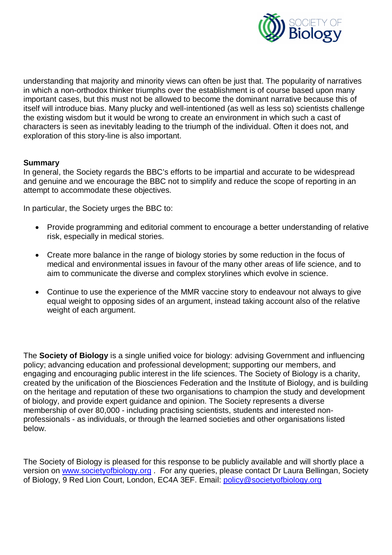

understanding that majority and minority views can often be just that. The popularity of narratives in which a non-orthodox thinker triumphs over the establishment is of course based upon many important cases, but this must not be allowed to become the dominant narrative because this of itself will introduce bias. Many plucky and well-intentioned (as well as less so) scientists challenge the existing wisdom but it would be wrong to create an environment in which such a cast of characters is seen as inevitably leading to the triumph of the individual. Often it does not, and exploration of this story-line is also important.

## **Summary**

In general, the Society regards the BBC's efforts to be impartial and accurate to be widespread and genuine and we encourage the BBC not to simplify and reduce the scope of reporting in an attempt to accommodate these objectives.

In particular, the Society urges the BBC to:

- Provide programming and editorial comment to encourage a better understanding of relative risk, especially in medical stories.
- Create more balance in the range of biology stories by some reduction in the focus of medical and environmental issues in favour of the many other areas of life science, and to aim to communicate the diverse and complex storylines which evolve in science.
- Continue to use the experience of the MMR vaccine story to endeavour not always to give equal weight to opposing sides of an argument, instead taking account also of the relative weight of each argument.

The **Society of Biology** is a single unified voice for biology: advising Government and influencing policy; advancing education and professional development; supporting our members, and engaging and encouraging public interest in the life sciences. The Society of Biology is a charity, created by the unification of the Biosciences Federation and the Institute of Biology, and is building on the heritage and reputation of these two organisations to champion the study and development of biology, and provide expert guidance and opinion. The Society represents a diverse membership of over 80,000 - including practising scientists, students and interested nonprofessionals - as individuals, or through the learned societies and other organisations listed below.

The Society of Biology is pleased for this response to be publicly available and will shortly place a version on www.societyofbiology.org . For any queries, please contact Dr Laura Bellingan, Society of Biology, 9 Red Lion Court, London, EC4A 3EF. Email: policy@societyofbiology.org